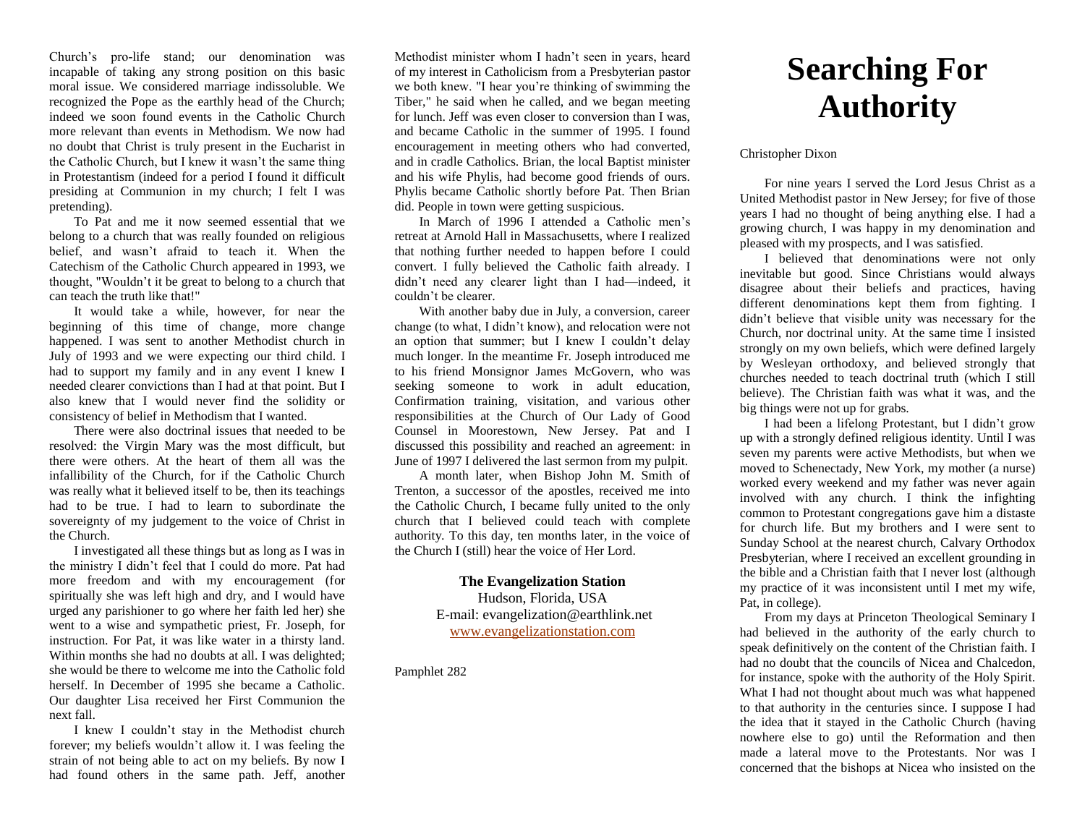Church's pro-life stand; our denomination was incapable of taking any strong position on this basic moral issue. We considered marriage indissoluble. We recognized the Pope as the earthly head of the Church; indeed we soon found events in the Catholic Church more relevant than events in Methodism. We now had no doubt that Christ is truly present in the Eucharist in the Catholic Church, but I knew it wasn't the same thing in Protestantism (indeed for a period I found it difficult presiding at Communion in my church; I felt I was pretending).

To Pat and me it now seemed essential that we belong to a church that was really founded on religious belief, and wasn't afraid to teach it. When the Catechism of the Catholic Church appeared in 1993, we thought, "Wouldn't it be great to belong to a church that can teach the truth like that!"

It would take a while, however, for near the beginning of this time of change, more change happened. I was sent to another Methodist church in July of 1993 and we were expecting our third child. I had to support my family and in any event I knew I needed clearer convictions than I had at that point. But I also knew that I would never find the solidity or consistency of belief in Methodism that I wanted.

There were also doctrinal issues that needed to be resolved: the Virgin Mary was the most difficult, but there were others. At the heart of them all was the infallibility of the Church, for if the Catholic Church was really what it believed itself to be, then its teachings had to be true. I had to learn to subordinate the sovereignty of my judgement to the voice of Christ in the Church.

I investigated all these things but as long as I was in the ministry I didn't feel that I could do more. Pat had more freedom and with my encouragement (for spiritually she was left high and dry, and I would have urged any parishioner to go where her faith led her) she went to a wise and sympathetic priest, Fr. Joseph, for instruction. For Pat, it was like water in a thirsty land. Within months she had no doubts at all. I was delighted; she would be there to welcome me into the Catholic fold herself. In December of 1995 she became a Catholic. Our daughter Lisa received her First Communion the next fall.

I knew I couldn't stay in the Methodist church forever; my beliefs wouldn't allow it. I was feeling the strain of not being able to act on my beliefs. By now I had found others in the same path. Jeff, another Methodist minister whom I hadn't seen in years, heard of my interest in Catholicism from a Presbyterian pastor we both knew. "I hear you're thinking of swimming the Tiber," he said when he called, and we began meeting for lunch. Jeff was even closer to conversion than I was, and became Catholic in the summer of 1995. I found encouragement in meeting others who had converted, and in cradle Catholics. Brian, the local Baptist minister and his wife Phylis, had become good friends of ours. Phylis became Catholic shortly before Pat. Then Brian did. People in town were getting suspicious.

In March of 1996 I attended a Catholic men's retreat at Arnold Hall in Massachusetts, where I realized that nothing further needed to happen before I could convert. I fully believed the Catholic faith already. I didn't need any clearer light than I had—indeed, it couldn't be clearer.

With another baby due in July, a conversion, career change (to what, I didn't know), and relocation were not an option that summer; but I knew I couldn't delay much longer. In the meantime Fr. Joseph introduced me to his friend Monsignor James McGovern, who was seeking someone to work in adult education, Confirmation training, visitation, and various other responsibilities at the Church of Our Lady of Good Counsel in Moorestown, New Jersey. Pat and I discussed this possibility and reached an agreement: in June of 1997 I delivered the last sermon from my pulpit.

A month later, when Bishop John M. Smith of Trenton, a successor of the apostles, received me into the Catholic Church, I became fully united to the only church that I believed could teach with complete authority. To this day, ten months later, in the voice of the Church I (still) hear the voice of Her Lord.

> **The Evangelization Station** Hudson, Florida, USA E-mail: evangelization@earthlink.net [www.evangelizationstation.com](http://www.pjpiisoe.org/)

Pamphlet 282

## **Searching For Authority**

## Christopher Dixon

For nine years I served the Lord Jesus Christ as a United Methodist pastor in New Jersey; for five of those years I had no thought of being anything else. I had a growing church, I was happy in my denomination and pleased with my prospects, and I was satisfied.

I believed that denominations were not only inevitable but good. Since Christians would always disagree about their beliefs and practices, having different denominations kept them from fighting. I didn't believe that visible unity was necessary for the Church, nor doctrinal unity. At the same time I insisted strongly on my own beliefs, which were defined largely by Wesleyan orthodoxy, and believed strongly that churches needed to teach doctrinal truth (which I still believe). The Christian faith was what it was, and the big things were not up for grabs.

I had been a lifelong Protestant, but I didn't grow up with a strongly defined religious identity. Until I was seven my parents were active Methodists, but when we moved to Schenectady, New York, my mother (a nurse) worked every weekend and my father was never again involved with any church. I think the infighting common to Protestant congregations gave him a distaste for church life. But my brothers and I were sent to Sunday School at the nearest church, Calvary Orthodox Presbyterian, where I received an excellent grounding in the bible and a Christian faith that I never lost (although my practice of it was inconsistent until I met my wife, Pat, in college).

From my days at Princeton Theological Seminary I had believed in the authority of the early church to speak definitively on the content of the Christian faith. I had no doubt that the councils of Nicea and Chalcedon, for instance, spoke with the authority of the Holy Spirit. What I had not thought about much was what happened to that authority in the centuries since. I suppose I had the idea that it stayed in the Catholic Church (having nowhere else to go) until the Reformation and then made a lateral move to the Protestants. Nor was I concerned that the bishops at Nicea who insisted on the